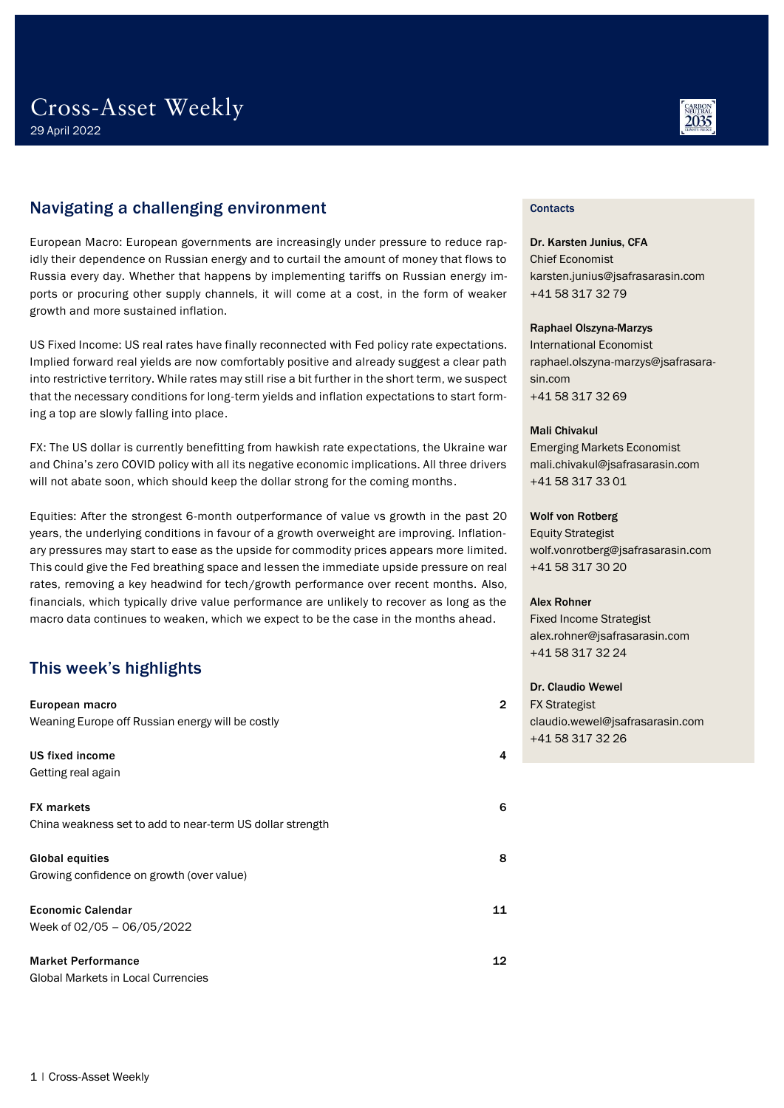### Navigating a challenging environment

European Macro: European governments are increasingly under pressure to reduce rapidly their dependence on Russian energy and to curtail the amount of money that flows to Russia every day. Whether that happens by implementing tariffs on Russian energy imports or procuring other supply channels, it will come at a cost, in the form of weaker growth and more sustained inflation.

US Fixed Income: US real rates have finally reconnected with Fed policy rate expectations. Implied forward real yields are now comfortably positive and already suggest a clear path into restrictive territory. While rates may still rise a bit further in the short term, we suspect that the necessary conditions for long-term yields and inflation expectations to start forming a top are slowly falling into place.

FX: The US dollar is currently benefitting from hawkish rate expectations, the Ukraine war and China's zero COVID policy with all its negative economic implications. All three drivers will not abate soon, which should keep the dollar strong for the coming months.

Equities: After the strongest 6-month outperformance of value vs growth in the past 20 years, the underlying conditions in favour of a growth overweight are improving. Inflationary pressures may start to ease as the upside for commodity prices appears more limited. This could give the Fed breathing space and lessen the immediate upside pressure on real rates, removing a key headwind for tech/growth performance over recent months. Also, financials, which typically drive value performance are unlikely to recover as long as the macro data continues to weaken, which we expect to be the case in the months ahead.

### This week's highlights

| European macro<br>Weaning Europe off Russian energy will be costly             | $\overline{2}$ |
|--------------------------------------------------------------------------------|----------------|
| US fixed income<br>Getting real again                                          | 4              |
| <b>FX markets</b><br>China weakness set to add to near-term US dollar strength | 6              |
| <b>Global equities</b><br>Growing confidence on growth (over value)            | 8              |
| <b>Economic Calendar</b><br>Week of 02/05 - 06/05/2022                         | 11             |
| <b>Market Performance</b><br>Global Markets in Local Currencies                | 12             |



### **Contacts**

Dr. Karsten Junius, CFA Chief Economist karsten.junius@jsafrasarasin.com +41 58 317 32 79

### Raphael Olszyna-Marzys

International Economist raphael.olszyna-marzys@jsafrasarasin.com +41 58 317 32 69

### Mali Chivakul

Emerging Markets Economist mali.chivakul@jsafrasarasin.com +41 58 317 33 01

### Wolf von Rotberg

Equity Strategist wolf.vonrotberg@jsafrasarasin.com +41 58 317 30 20

### Alex Rohner

Fixed Income Strategist alex.rohner@jsafrasarasin.com +41 58 317 32 24

### Dr. Claudio Wewel

FX Strategist claudio.wewel@jsafrasarasin.com +41 58 317 32 26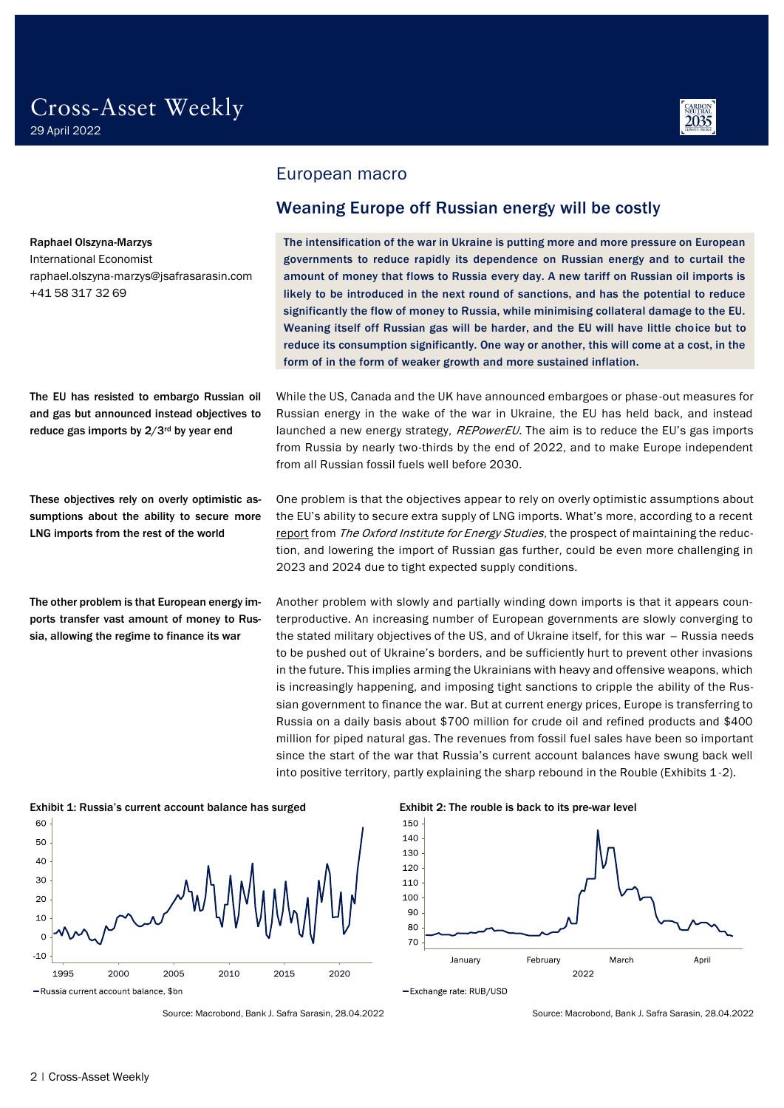raphael.olszyna-marzys@jsafrasarasin.com



### <span id="page-1-0"></span>European macro

### <span id="page-1-1"></span>Weaning Europe off Russian energy will be costly

The intensification of the war in Ukraine is putting more and more pressure on European governments to reduce rapidly its dependence on Russian energy and to curtail the amount of money that flows to Russia every day. A new tariff on Russian oil imports is likely to be introduced in the next round of sanctions, and has the potential to reduce significantly the flow of money to Russia, while minimising collateral damage to the EU. Weaning itself off Russian gas will be harder, and the EU will have little choice but to reduce its consumption significantly. One way or another, this will come at a cost, in the form of in the form of weaker growth and more sustained inflation.

While the US, Canada and the UK have announced embargoes or phase-out measures for Russian energy in the wake of the war in Ukraine, the EU has held back, and instead launched a new energy strategy, REPowerEU. The aim is to reduce the EU's gas imports from Russia by nearly two-thirds by the end of 2022, and to make Europe independent from all Russian fossil fuels well before 2030.

One problem is that the objectives appear to rely on overly optimistic assumptions about the EU's ability to secure extra supply of LNG imports. What's more, according to a recent [report](https://a9w7k6q9.stackpathcdn.com/wpcms/wp-content/uploads/2022/03/Insight-110-The-EU-plan-to-reduce-Russian-gas-imports-by-two-thirds-by-the-end-of-2022.pdf) from The Oxford Institute for Energy Studies, the prospect of maintaining the reduction, and lowering the import of Russian gas further, could be even more challenging in 2023 and 2024 due to tight expected supply conditions.

Another problem with slowly and partially winding down imports is that it appears counterproductive. An increasing number of European governments are slowly converging to the stated military objectives of the US, and of Ukraine itself, for this war – Russia needs to be pushed out of Ukraine's borders, and be sufficiently hurt to prevent other invasions in the future. This implies arming the Ukrainians with heavy and offensive weapons, which is increasingly happening, and imposing tight sanctions to cripple the ability of the Russian government to finance the war. But at current energy prices, Europe is transferring to Russia on a daily basis about \$700 million for crude oil and refined products and \$400 million for piped natural gas. The revenues from fossil fuel sales have been so important since the start of the war that Russia's current account balances have swung back well into positive territory, partly explaining the sharp rebound in the Rouble (Exhibits 1-2).



Source: Macrobond, Bank J. Safra Sarasin, 28.04.2022 Source: Macrobond, Bank J. Safra Sarasin, 28.04.2022





The EU has resisted to embargo Russian oil and gas but announced instead objectives to reduce gas imports by 2/3rd by year end

Raphael Olszyna-Marzys International Economist

+41 58 317 32 69

These objectives rely on overly optimistic assumptions about the ability to secure more LNG imports from the rest of the world

The other problem is that European energy imports transfer vast amount of money to Russia, allowing the regime to finance its war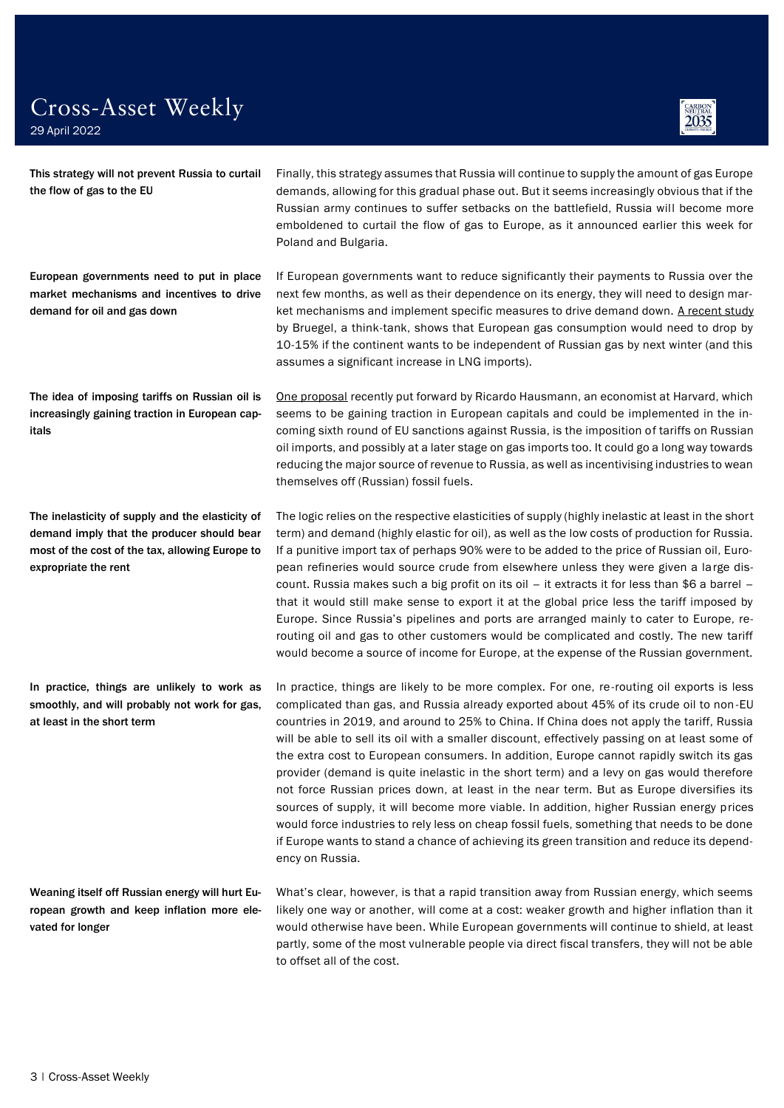29 April 2022

This strategy will not prevent Russia to curtail the flow of gas to the EU

European governments need to put in place market mechanisms and incentives to drive demand for oil and gas down

The idea of imposing tariffs on Russian oil is increasingly gaining traction in European capitals

The inelasticity of supply and the elasticity of demand imply that the producer should bear most of the cost of the tax, allowing Europe to expropriate the rent

In practice, things are unlikely to work as smoothly, and will probably not work for gas, at least in the short term

Weaning itself off Russian energy will hurt European growth and keep inflation more elevated for longer

Finally, this strategy assumes that Russia will continue to supply the amount of gas Europe demands, allowing for this gradual phase out. But it seems increasingly obvious that if the Russian army continues to suffer setbacks on the battlefield, Russia will become more emboldened to curtail the flow of gas to Europe, as it announced earlier this week for Poland and Bulgaria.

If European governments want to reduce significantly their payments to Russia over the next few months, as well as their dependence on its energy, they will need to design market mechanisms and implement specific measures to drive demand down. [A recent study](https://www.bruegel.org/2022/02/preparing-for-the-first-winter-without-russian-gas/) by Bruegel, a think-tank, shows that European gas consumption would need to drop by 10-15% if the continent wants to be independent of Russian gas by next winter (and this assumes a significant increase in LNG imports).

[One proposal](https://www.project-syndicate.org/commentary/case-for-punitive-tax-on-russian-oil-by-ricardo-hausmann-2022-02) recently put forward by Ricardo Hausmann, an economist at Harvard, which seems to be gaining traction in European capitals and could be implemented in the incoming sixth round of EU sanctions against Russia, is the imposition of tariffs on Russian oil imports, and possibly at a later stage on gas imports too. It could go a long way towards reducing the major source of revenue to Russia, as well as incentivising industries to wean themselves off (Russian) fossil fuels.

The logic relies on the respective elasticities of supply (highly inelastic at least in the short term) and demand (highly elastic for oil), as well as the low costs of production for Russia. If a punitive import tax of perhaps 90% were to be added to the price of Russian oil, European refineries would source crude from elsewhere unless they were given a large discount. Russia makes such a big profit on its oil – it extracts it for less than \$6 a barrel – that it would still make sense to export it at the global price less the tariff imposed by Europe. Since Russia's pipelines and ports are arranged mainly to cater to Europe, rerouting oil and gas to other customers would be complicated and costly. The new tariff would become a source of income for Europe, at the expense of the Russian government.

In practice, things are likely to be more complex. For one, re-routing oil exports is less complicated than gas, and Russia already exported about 45% of its crude oil to non-EU countries in 2019, and around to 25% to China. If China does not apply the tariff, Russia will be able to sell its oil with a smaller discount, effectively passing on at least some of the extra cost to European consumers. In addition, Europe cannot rapidly switch its gas provider (demand is quite inelastic in the short term) and a levy on gas would therefore not force Russian prices down, at least in the near term. But as Europe diversifies its sources of supply, it will become more viable. In addition, higher Russian energy prices would force industries to rely less on cheap fossil fuels, something that needs to be done if Europe wants to stand a chance of achieving its green transition and reduce its dependency on Russia.

What's clear, however, is that a rapid transition away from Russian energy, which seems likely one way or another, will come at a cost: weaker growth and higher inflation than it would otherwise have been. While European governments will continue to shield, at least partly, some of the most vulnerable people via direct fiscal transfers, they will not be able to offset all of the cost.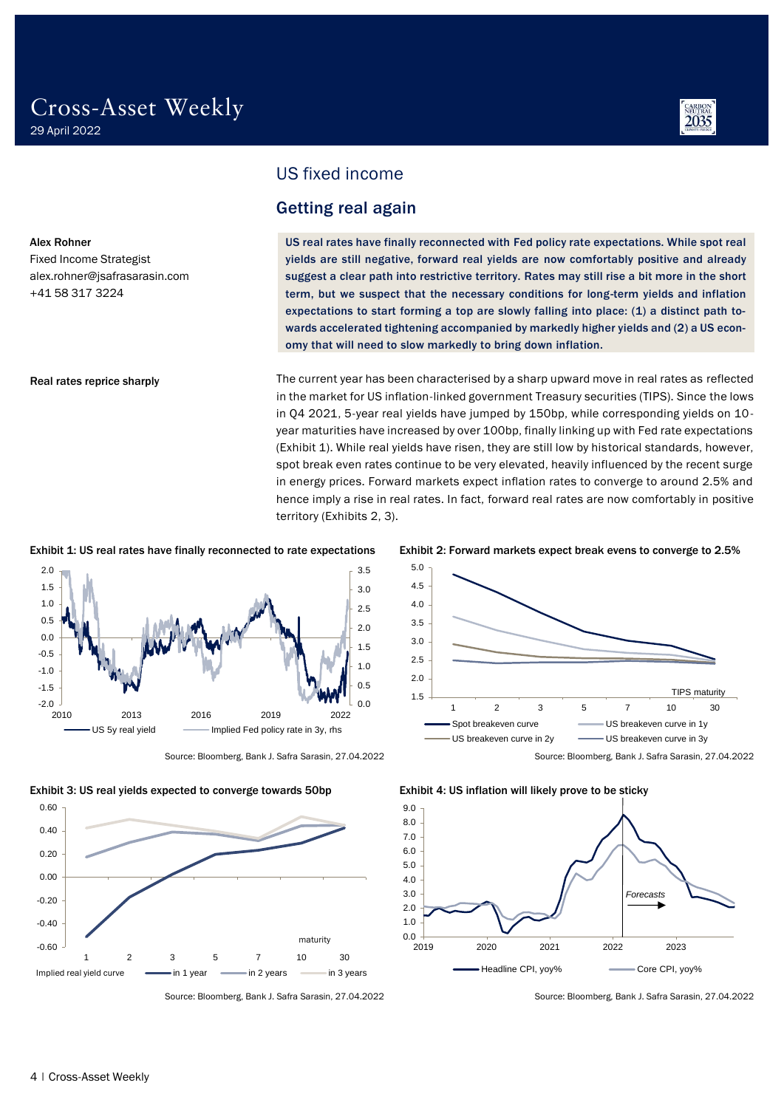Alex Rohner

Fixed Income Strategist alex.rohner@jsafrasarasin.com

Real rates reprice sharply

+41 58 317 3224



### <span id="page-3-0"></span>US fixed income

### <span id="page-3-1"></span>Getting real again

US real rates have finally reconnected with Fed policy rate expectations. While spot real yields are still negative, forward real yields are now comfortably positive and already suggest a clear path into restrictive territory. Rates may still rise a bit more in the short term, but we suspect that the necessary conditions for long-term yields and inflation expectations to start forming a top are slowly falling into place: (1) a distinct path towards accelerated tightening accompanied by markedly higher yields and (2) a US economy that will need to slow markedly to bring down inflation.

The current year has been characterised by a sharp upward move in real rates as reflected in the market for US inflation-linked government Treasury securities (TIPS). Since the lows in Q4 2021, 5-year real yields have jumped by 150bp, while corresponding yields on 10 year maturities have increased by over 100bp, finally linking up with Fed rate expectations (Exhibit 1). While real yields have risen, they are still low by historical standards, however, spot break even rates continue to be very elevated, heavily influenced by the recent surge in energy prices. Forward markets expect inflation rates to converge to around 2.5% and hence imply a rise in real rates. In fact, forward real rates are now comfortably in positive territory (Exhibits 2, 3).

#### Exhibit 1: US real rates have finally reconnected to rate expectations Exhibit 2: Forward markets expect break evens to converge to 2.5%













Source: Bloomberg, Bank J. Safra Sarasin, 27.04.2022 Source: Bloomberg, Bank J. Safra Sarasin, 27.04.2022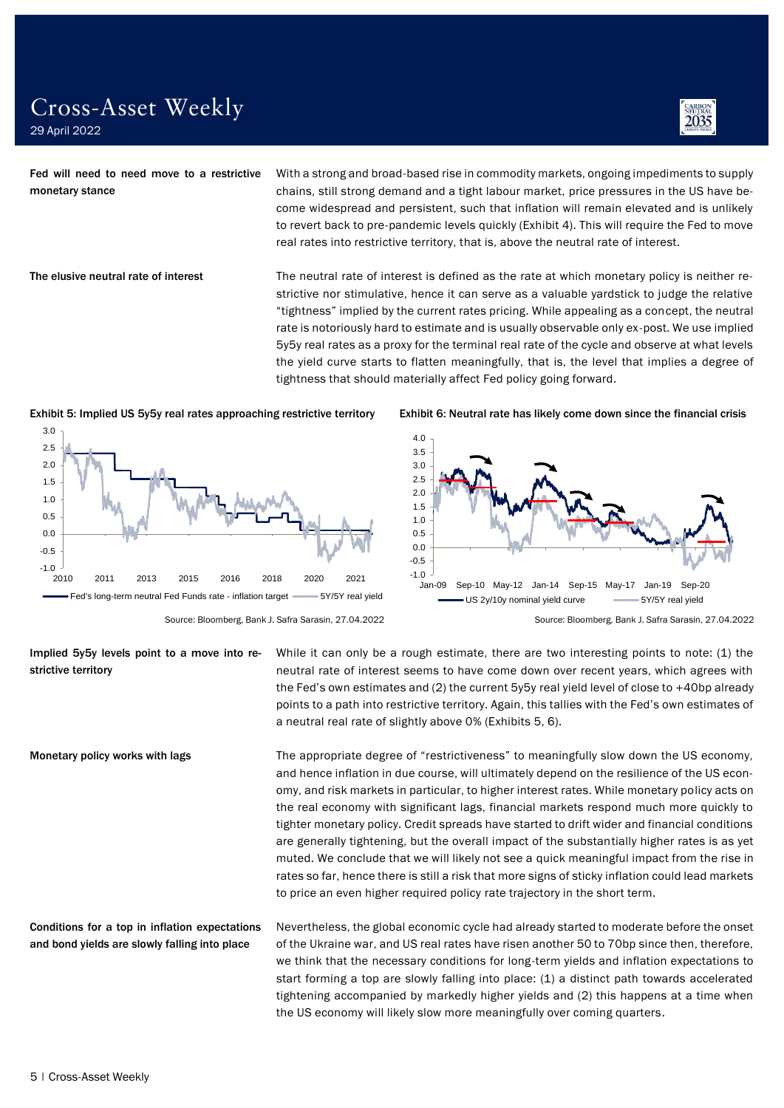

Fed will need to need move to a restrictive monetary stance

With a strong and broad-based rise in commodity markets, ongoing impediments to supply chains, still strong demand and a tight labour market, price pressures in the US have become widespread and persistent, such that inflation will remain elevated and is unlikely to revert back to pre-pandemic levels quickly (Exhibit 4). This will require the Fed to move real rates into restrictive territory, that is, above the neutral rate of interest.

The elusive neutral rate of interest

The neutral rate of interest is defined as the rate at which monetary policy is neither restrictive nor stimulative, hence it can serve as a valuable yardstick to judge the relative "tightness" implied by the current rates pricing. While appealing as a concept, the neutral rate is notoriously hard to estimate and is usually observable only ex-post. We use implied 5y5y real rates as a proxy for the terminal real rate of the cycle and observe at what levels the yield curve starts to flatten meaningfully, that is, the level that implies a degree of tightness that should materially affect Fed policy going forward.







Source: Bloomberg, Bank J. Safra Sarasin, 27.04.2022 Source: Bloomberg, Bank J. Safra Sarasin, 27.04.2022

While it can only be a rough estimate, there are two interesting points to note: (1) the neutral rate of interest seems to have come down over recent years, which agrees with the Fed's own estimates and (2) the current 5y5y real yield level of close to +40bp already points to a path into restrictive territory. Again, this tallies with the Fed's own estimates of a neutral real rate of slightly above 0% (Exhibits 5, 6). Implied 5y5y levels point to a move into restrictive territory

> The appropriate degree of "restrictiveness" to meaningfully slow down the US economy, and hence inflation in due course, will ultimately depend on the resilience of the US economy, and risk markets in particular, to higher interest rates. While monetary policy acts on the real economy with significant lags, financial markets respond much more quickly to tighter monetary policy. Credit spreads have started to drift wider and financial conditions are generally tightening, but the overall impact of the substantially higher rates is as yet muted. We conclude that we will likely not see a quick meaningful impact from the rise in rates so far, hence there is still a risk that more signs of sticky inflation could lead markets to price an even higher required policy rate trajectory in the short term.

Nevertheless, the global economic cycle had already started to moderate before the onset of the Ukraine war, and US real rates have risen another 50 to 70bp since then, therefore, we think that the necessary conditions for long-term yields and inflation expectations to start forming a top are slowly falling into place: (1) a distinct path towards accelerated tightening accompanied by markedly higher yields and (2) this happens at a time when the US economy will likely slow more meaningfully over coming quarters. Conditions for a top in inflation expectations and bond yields are slowly falling into place

Monetary policy works with lags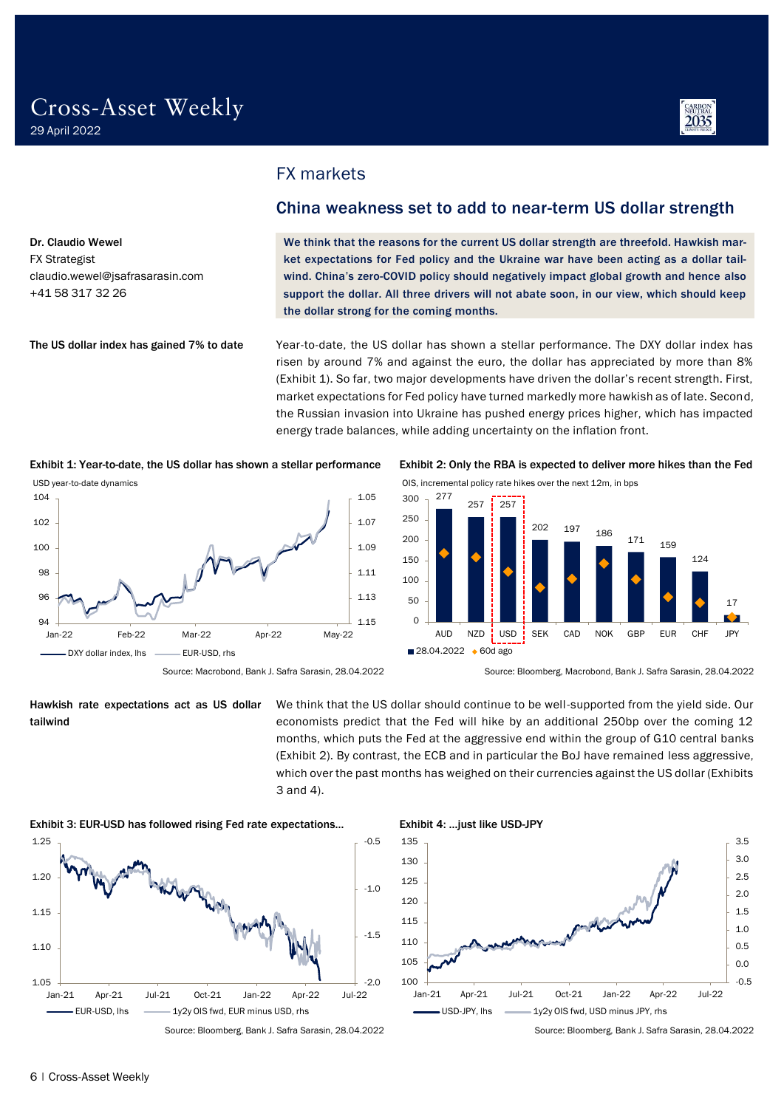Dr. Claudio Wewel FX Strategist

+41 58 317 32 26

claudio.wewel@jsafrasarasin.com

The US dollar index has gained 7% to date



<span id="page-5-0"></span>FX markets

### <span id="page-5-1"></span>China weakness set to add to near-term US dollar strength

We think that the reasons for the current US dollar strength are threefold. Hawkish market expectations for Fed policy and the Ukraine war have been acting as a dollar tailwind. China's zero-COVID policy should negatively impact global growth and hence also support the dollar. All three drivers will not abate soon, in our view, which should keep the dollar strong for the coming months.

Year-to-date, the US dollar has shown a stellar performance. The DXY dollar index has risen by around 7% and against the euro, the dollar has appreciated by more than 8% (Exhibit 1). So far, two major developments have driven the dollar's recent strength. First, market expectations for Fed policy have turned markedly more hawkish as of late. Second, the Russian invasion into Ukraine has pushed energy prices higher, which has impacted energy trade balances, while adding uncertainty on the inflation front.

Exhibit 1: Year-to-date, the US dollar has shown a stellar performance Exhibit 2: Only the RBA is expected to deliver more hikes than the Fed







Hawkish rate expectations act as US dollar tailwind

We think that the US dollar should continue to be well-supported from the yield side. Our economists predict that the Fed will hike by an additional 250bp over the coming 12 months, which puts the Fed at the aggressive end within the group of G10 central banks (Exhibit 2). By contrast, the ECB and in particular the BoJ have remained less aggressive, which over the past months has weighed on their currencies against the US dollar (Exhibits 3 and 4).







Source: Bloomberg, Bank J. Safra Sarasin, 28.04.2022 Source: Bloomberg, Bank J. Safra Sarasin, 28.04.2022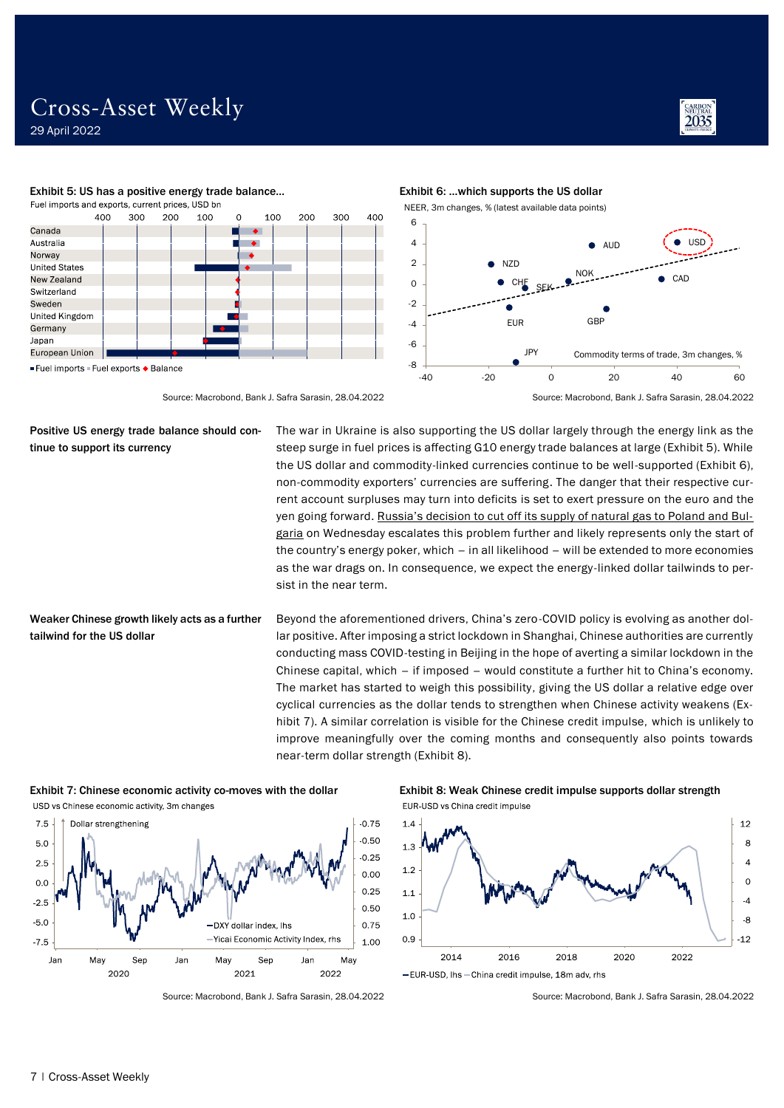

CAD

 $\bullet$ 

 $\bullet$ 

USD





-40 -20 0 20 40 60

Commodity terms of trade, 3m changes, %

**AUD** 

NOK

GBP

Positive US energy trade balance should continue to support its currency

The war in Ukraine is also supporting the US dollar largely through the energy link as the steep surge in fuel prices is affecting G10 energy trade balances at large (Exhibit 5). While the US dollar and commodity-linked currencies continue to be well-supported (Exhibit 6), non-commodity exporters' currencies are suffering. The danger that their respective current account surpluses may turn into deficits is set to exert pressure on the euro and the yen going forward. [Russia's decision to cut off its supply of natural gas to Poland and Bul](https://www.reuters.com/world/poland-bulgaria-face-russian-gas-cut-ukraine-crisis-escalates-2022-04-26/)[garia](https://www.reuters.com/world/poland-bulgaria-face-russian-gas-cut-ukraine-crisis-escalates-2022-04-26/) on Wednesday escalates this problem further and likely represents only the start of the country's energy poker, which – in all likelihood – will be extended to more economies as the war drags on. In consequence, we expect the energy-linked dollar tailwinds to persist in the near term.

EUR

Ò

CH

N<sub>7</sub>D

**JPY** 

Weaker Chinese growth likely acts as a further tailwind for the US dollar

Beyond the aforementioned drivers, China's zero-COVID policy is evolving as another dollar positive. After imposing a strict lockdown in Shanghai, Chinese authorities are currently conducting mass COVID-testing in Beijing in the hope of averting a similar lockdown in the Chinese capital, which – if imposed – would constitute a further hit to China's economy. The market has started to weigh this possibility, giving the US dollar a relative edge over cyclical currencies as the dollar tends to strengthen when Chinese activity weakens (Exhibit 7). A similar correlation is visible for the Chinese credit impulse, which is unlikely to improve meaningfully over the coming months and consequently also points towards near-term dollar strength (Exhibit 8).

USD vs Chinese economic activity, 3m changes



Exhibit 7: Chinese economic activity co-moves with the dollar Exhibit 8: Weak Chinese credit impulse supports dollar strength EUR-USD vs China credit impulse



-EUR-USD, lhs-China credit impulse, 18m adv, rhs

Source: Macrobond, Bank J. Safra Sarasin, 28.04.2022 Source: Macrobond, Bank J. Safra Sarasin, 28.04.2022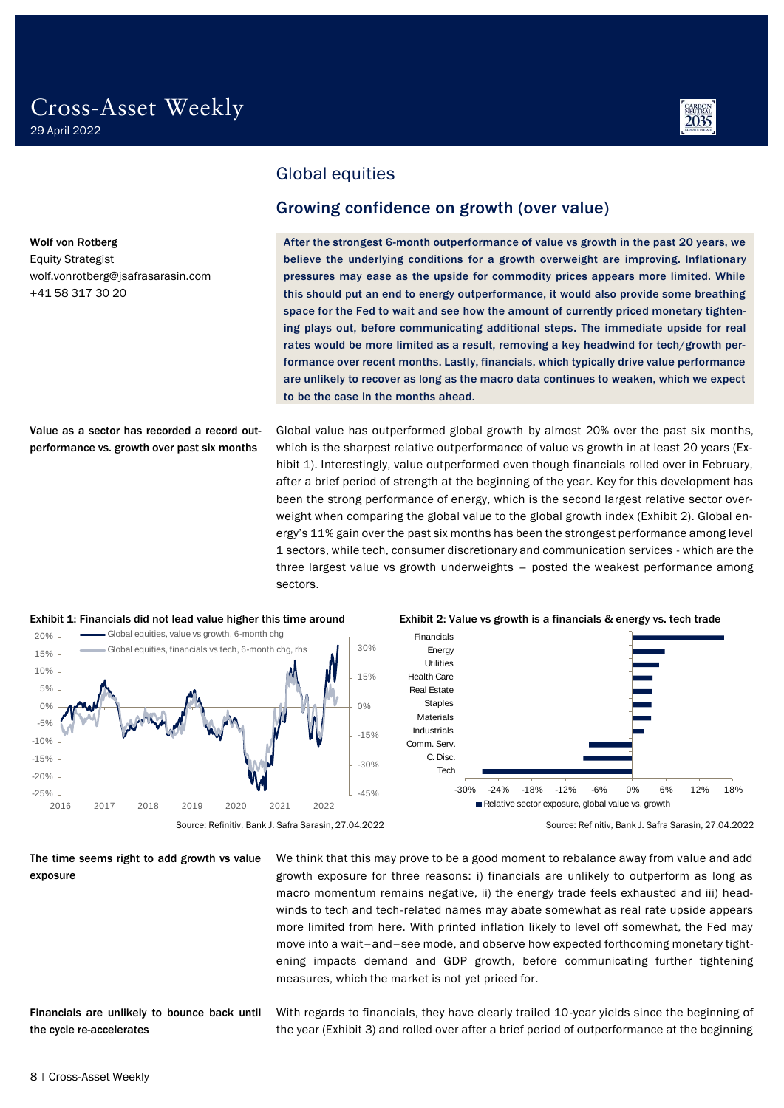wolf.vonrotberg@jsafrasarasin.com

Wolf von Rotberg Equity Strategist

+41 58 317 30 20



<span id="page-7-0"></span>Global equities

### <span id="page-7-1"></span>Growing confidence on growth (over value)

After the strongest 6-month outperformance of value vs growth in the past 20 years, we believe the underlying conditions for a growth overweight are improving. Inflationary pressures may ease as the upside for commodity prices appears more limited. While this should put an end to energy outperformance, it would also provide some breathing space for the Fed to wait and see how the amount of currently priced monetary tightening plays out, before communicating additional steps. The immediate upside for real rates would be more limited as a result, removing a key headwind for tech/growth performance over recent months. Lastly, financials, which typically drive value performance are unlikely to recover as long as the macro data continues to weaken, which we expect to be the case in the months ahead.

Value as a sector has recorded a record outperformance vs. growth over past six months

Global value has outperformed global growth by almost 20% over the past six months, which is the sharpest relative outperformance of value vs growth in at least 20 years (Exhibit 1). Interestingly, value outperformed even though financials rolled over in February, after a brief period of strength at the beginning of the year. Key for this development has been the strong performance of energy, which is the second largest relative sector overweight when comparing the global value to the global growth index (Exhibit 2). Global energy's 11% gain over the past six months has been the strongest performance among level 1 sectors, while tech, consumer discretionary and communication services - which are the three largest value vs growth underweights – posted the weakest performance among sectors.



### The time seems right to add growth vs value exposure

Financials are unlikely to bounce back until the cycle re-accelerates

We think that this may prove to be a good moment to rebalance away from value and add growth exposure for three reasons: i) financials are unlikely to outperform as long as macro momentum remains negative, ii) the energy trade feels exhausted and iii) headwinds to tech and tech-related names may abate somewhat as real rate upside appears more limited from here. With printed inflation likely to level off somewhat, the Fed may move into a wait–and–see mode, and observe how expected forthcoming monetary tightening impacts demand and GDP growth, before communicating further tightening measures, which the market is not yet priced for.

With regards to financials, they have clearly trailed 10-year yields since the beginning of the year (Exhibit 3) and rolled over after a brief period of outperformance at the beginning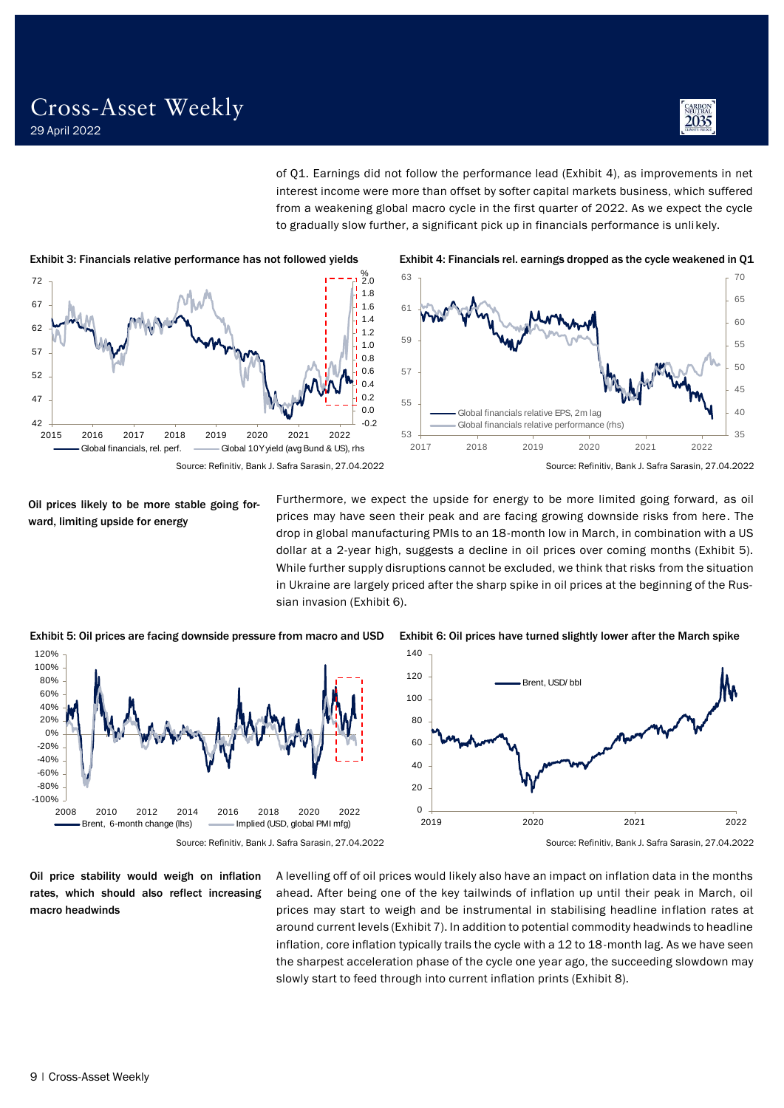

of Q1. Earnings did not follow the performance lead (Exhibit 4), as improvements in net interest income were more than offset by softer capital markets business, which suffered from a weakening global macro cycle in the first quarter of 2022. As we expect the cycle to gradually slow further, a significant pick up in financials performance is unlikely.





Oil prices likely to be more stable going forward, limiting upside for energy

Furthermore, we expect the upside for energy to be more limited going forward, as oil prices may have seen their peak and are facing growing downside risks from here. The drop in global manufacturing PMIs to an 18-month low in March, in combination with a US dollar at a 2-year high, suggests a decline in oil prices over coming months (Exhibit 5). While further supply disruptions cannot be excluded, we think that risks from the situation in Ukraine are largely priced after the sharp spike in oil prices at the beginning of the Russian invasion (Exhibit 6).



Exhibit 5: Oil prices are facing downside pressure from macro and USD Exhibit 6: Oil prices have turned slightly lower after the March spike



Oil price stability would weigh on inflation rates, which should also reflect increasing macro headwinds

A levelling off of oil prices would likely also have an impact on inflation data in the months ahead. After being one of the key tailwinds of inflation up until their peak in March, oil prices may start to weigh and be instrumental in stabilising headline inflation rates at around current levels (Exhibit 7). In addition to potential commodity headwinds to headline inflation, core inflation typically trails the cycle with a 12 to 18-month lag. As we have seen the sharpest acceleration phase of the cycle one year ago, the succeeding slowdown may slowly start to feed through into current inflation prints (Exhibit 8).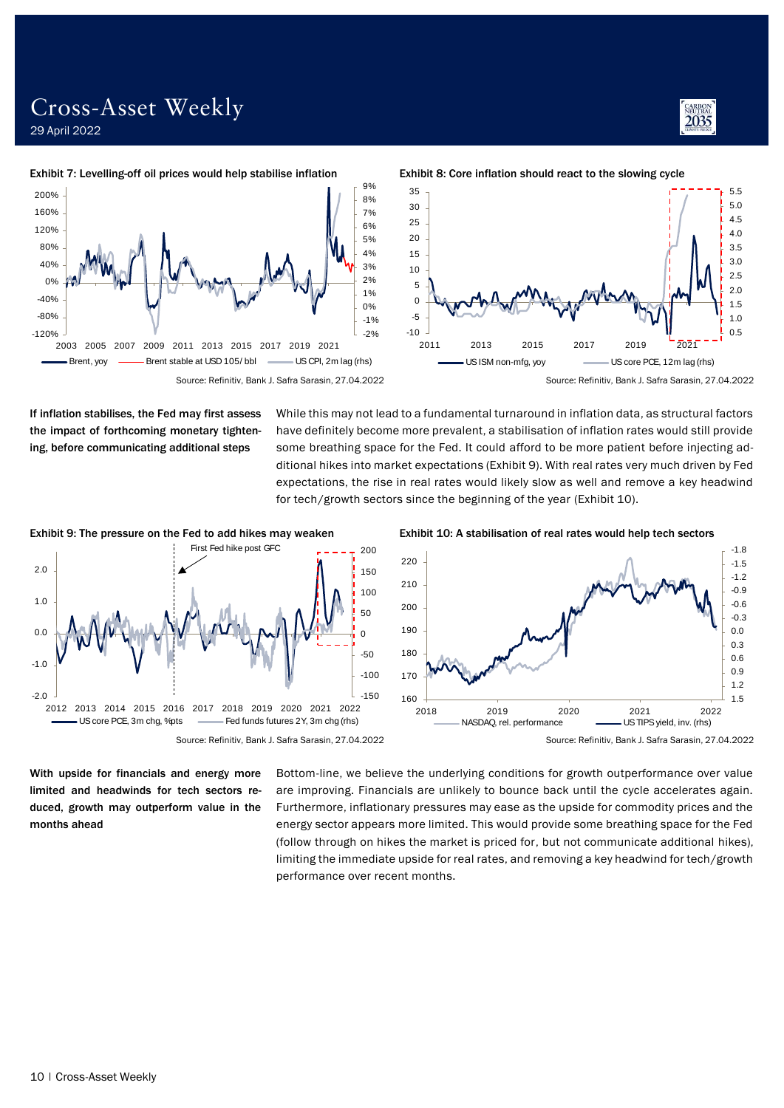### Cross-Asset Weekly 29 April 2022

#### Exhibit 7: Levelling-off oil prices would help stabilise inflation



If inflation stabilises, the Fed may first assess the impact of forthcoming monetary tightening, before communicating additional steps

While this may not lead to a fundamental turnaround in inflation data, as structural factors have definitely become more prevalent, a stabilisation of inflation rates would still provide some breathing space for the Fed. It could afford to be more patient before injecting additional hikes into market expectations (Exhibit 9). With real rates very much driven by Fed expectations, the rise in real rates would likely slow as well and remove a key headwind for tech/growth sectors since the beginning of the year (Exhibit 10).



With upside for financials and energy more limited and headwinds for tech sectors reduced, growth may outperform value in the months ahead

Bottom-line, we believe the underlying conditions for growth outperformance over value are improving. Financials are unlikely to bounce back until the cycle accelerates again. Furthermore, inflationary pressures may ease as the upside for commodity prices and the energy sector appears more limited. This would provide some breathing space for the Fed (follow through on hikes the market is priced for, but not communicate additional hikes), limiting the immediate upside for real rates, and removing a key headwind for tech/growth performance over recent months.



Exhibit 8: Core inflation should react to the slowing cycle

 $-1.5$ -1.2 -0.9 -0.6 -0.3 0.0 0.3 0.6 0.9 1.2

Exhibit 9: The pressure on the Fed to add hikes may weaken Exhibit 10: A stabilisation of real rates would help tech sectors

160  $+$  1.5

2018 2019 2020 2021 2022 NASDAQ, rel. performance US TIPS yield, inv. (rhs)



Source: Refinitiv, Bank J. Safra Sarasin, 27.04.2022 Source: Refinitiv, Bank J. Safra Sarasin, 27.04.2022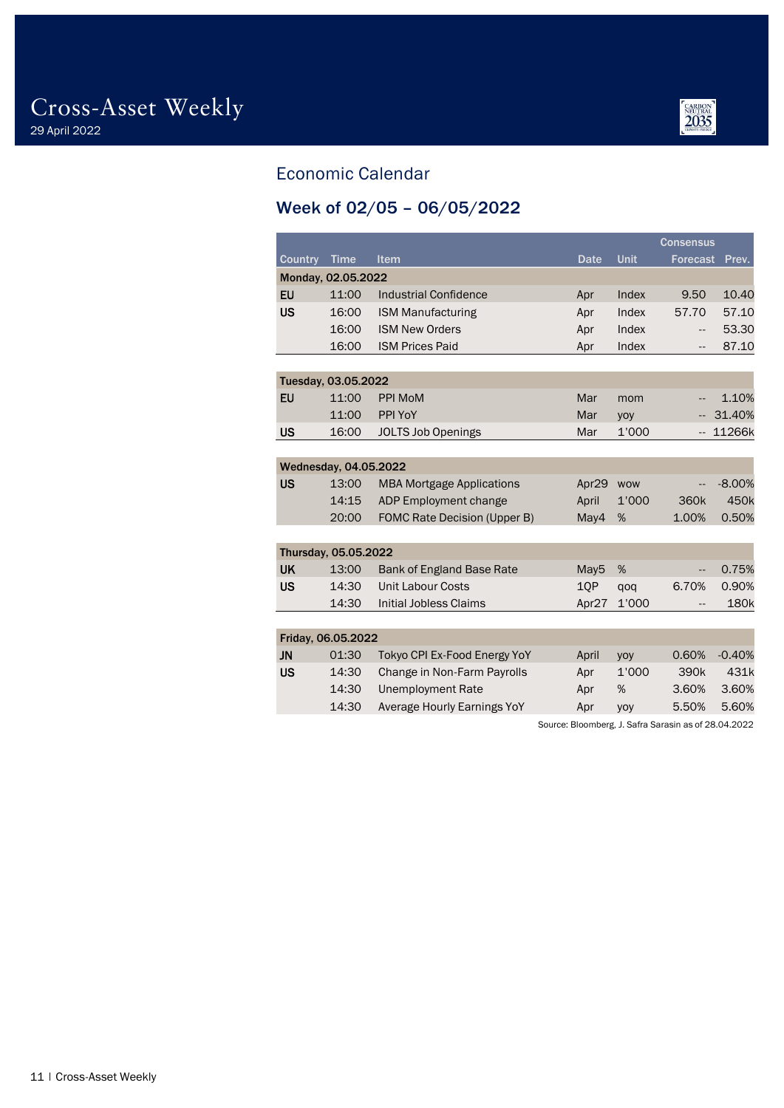

### <span id="page-10-0"></span>Economic Calendar

## <span id="page-10-1"></span>Week of 02/05 – 06/05/2022

|                |                       |                                     |                  | <b>Consensus</b> |                  |          |
|----------------|-----------------------|-------------------------------------|------------------|------------------|------------------|----------|
| <b>Country</b> | <b>Time</b>           | <b>Item</b>                         | <b>Date</b>      | Unit             | <b>Forecast</b>  | Prev.    |
|                | Monday, 02.05.2022    |                                     |                  |                  |                  |          |
| <b>EU</b>      | 11:00                 | <b>Industrial Confidence</b>        | Apr              | Index            | 9.50             | 10.40    |
| <b>US</b>      | 16:00                 | <b>ISM Manufacturing</b>            | Apr              | Index            | 57.70            | 57.10    |
|                | 16:00                 | <b>ISM New Orders</b>               | Apr              | Index            | --               | 53.30    |
|                | 16:00                 | <b>ISM Prices Paid</b>              | Apr              | Index            | --               | 87.10    |
|                |                       |                                     |                  |                  |                  |          |
|                | Tuesday, 03.05.2022   |                                     |                  |                  |                  |          |
| EU             | 11:00                 | <b>PPI MoM</b>                      | Mar              | mom              | --               | 1.10%    |
|                | 11:00                 | PPI YoY                             | Mar              | yoy              | --               | 31.40%   |
| <b>US</b>      | 16:00                 | <b>JOLTS Job Openings</b>           | Mar              | 1'000            | $-$              | 11266k   |
|                |                       |                                     |                  |                  |                  |          |
|                | Wednesday, 04.05.2022 |                                     |                  |                  |                  |          |
| <b>US</b>      | 13:00                 | <b>MBA Mortgage Applications</b>    | Apr29            | <b>WOW</b>       | --               | $-8.00%$ |
|                | 14:15                 | ADP Employment change               | April            | 1'000            | 360 <sub>k</sub> | 450k     |
|                | 20:00                 | <b>FOMC Rate Decision (Upper B)</b> | May4             | %                | 1.00%            | 0.50%    |
|                |                       |                                     |                  |                  |                  |          |
|                | Thursday, 05.05.2022  |                                     |                  |                  |                  |          |
| <b>UK</b>      | 13:00                 | <b>Bank of England Base Rate</b>    | May <sub>5</sub> | %                | --               | 0.75%    |
| <b>US</b>      | 14:30                 | <b>Unit Labour Costs</b>            | 10P              | qoq              | 6.70%            | 0.90%    |
|                | 14:30                 | <b>Initial Jobless Claims</b>       | Apr27            | 1'000            | --               | 180k     |
|                |                       |                                     |                  |                  |                  |          |
|                | Friday, 06.05.2022    |                                     |                  |                  |                  |          |
| JN             | 01:30                 | Tokyo CPI Ex-Food Energy YoY        | April            | yoy              | 0.60%            | $-0.40%$ |
| <b>US</b>      | 14:30                 | Change in Non-Farm Payrolls         | Apr              | 1'000            | 390 <sub>k</sub> | 431k     |
|                | 14:30                 | <b>Unemployment Rate</b>            | Apr              | %                | 3.60%            | 3.60%    |
|                | 14:30                 | Average Hourly Earnings YoY         | Apr              | yoy              | 5.50%            | 5.60%    |

Source: Bloomberg, J. Safra Sarasin as of 28.04.2022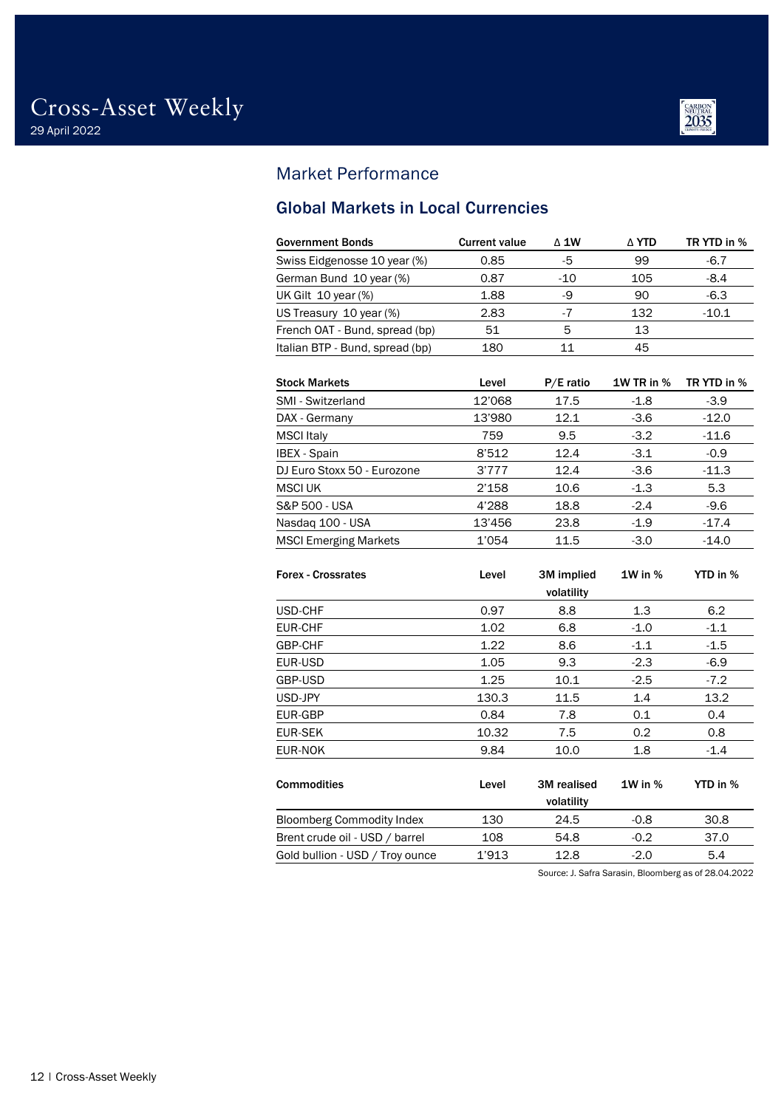

### <span id="page-11-0"></span>Market Performance

### <span id="page-11-1"></span>Global Markets in Local Currencies

| <b>Government Bonds</b>         | <b>Current value</b> | $\triangle$ 1W | ∆ YTD | TR YTD in % |
|---------------------------------|----------------------|----------------|-------|-------------|
| Swiss Eidgenosse 10 year (%)    | 0.85                 | -5             | 99    | $-6.7$      |
| German Bund 10 year (%)         | 0.87                 | $-10$          | 105   | $-8.4$      |
| UK Gilt $10$ year $%$           | 1.88                 | -9             | 90    | $-6.3$      |
| US Treasury 10 year (%)         | 2.83                 |                | 132   | $-10.1$     |
| French OAT - Bund, spread (bp)  | 51                   | 5              | 13    |             |
| Italian BTP - Bund, spread (bp) | 180                  | 11             | 45    |             |
|                                 |                      |                |       |             |

| <b>Stock Markets</b>         | Level  | $P/E$ ratio | <b>1W TR in %</b> | TR YTD in % |
|------------------------------|--------|-------------|-------------------|-------------|
| SMI - Switzerland            | 12'068 | 17.5        | $-1.8$            | $-3.9$      |
| DAX - Germany                | 13'980 | 12.1        | $-3.6$            | $-12.0$     |
| <b>MSCI</b> Italy            | 759    | 9.5         | $-3.2$            | $-11.6$     |
| <b>IBEX</b> - Spain          | 8'512  | 12.4        | $-3.1$            | $-0.9$      |
| DJ Euro Stoxx 50 - Eurozone  | 3'777  | 12.4        | $-3.6$            | $-11.3$     |
| <b>MSCI UK</b>               | 2'158  | 10.6        | $-1.3$            | 5.3         |
| S&P 500 - USA                | 4'288  | 18.8        | $-2.4$            | $-9.6$      |
| Nasdag 100 - USA             | 13'456 | 23.8        | $-1.9$            | $-17.4$     |
| <b>MSCI Emerging Markets</b> | 1'054  | 11.5        | $-3.0$            | $-14.0$     |

| <b>Forex - Crossrates</b>        | Level | 3M implied  | $1W$ in $%$ | YTD in % |
|----------------------------------|-------|-------------|-------------|----------|
|                                  |       | volatility  |             |          |
| USD-CHF                          | 0.97  | 8.8         | 1.3         | 6.2      |
| <b>EUR-CHF</b>                   | 1.02  | 6.8         | $-1.0$      | $-1.1$   |
| GBP-CHF                          | 1.22  | 8.6         | $-1.1$      | $-1.5$   |
| <b>EUR-USD</b>                   | 1.05  | 9.3         | $-2.3$      | $-6.9$   |
| GBP-USD                          | 1.25  | 10.1        | $-2.5$      | $-7.2$   |
| USD-JPY                          | 130.3 | 11.5        | 1.4         | 13.2     |
| <b>EUR-GBP</b>                   | 0.84  | 7.8         | 0.1         | 0.4      |
| <b>EUR-SEK</b>                   | 10.32 | 7.5         | 0.2         | 0.8      |
| <b>EUR-NOK</b>                   | 9.84  | 10.0        | 1.8         | $-1.4$   |
|                                  |       |             |             |          |
| <b>Commodities</b>               | Level | 3M realised | $1W$ in $%$ | YTD in % |
|                                  |       | volatility  |             |          |
| <b>Bloomberg Commodity Index</b> | 130   | 24.5        | $-0.8$      | 30.8     |
| Brent crude oil - USD / barrel   | 108   | 54.8        | $-0.2$      | 37.0     |
| Gold bullion - USD / Troy ounce  | 1'913 | 12.8        | $-2.0$      | 5.4      |

Source: J. Safra Sarasin, Bloomberg as of 28.04.2022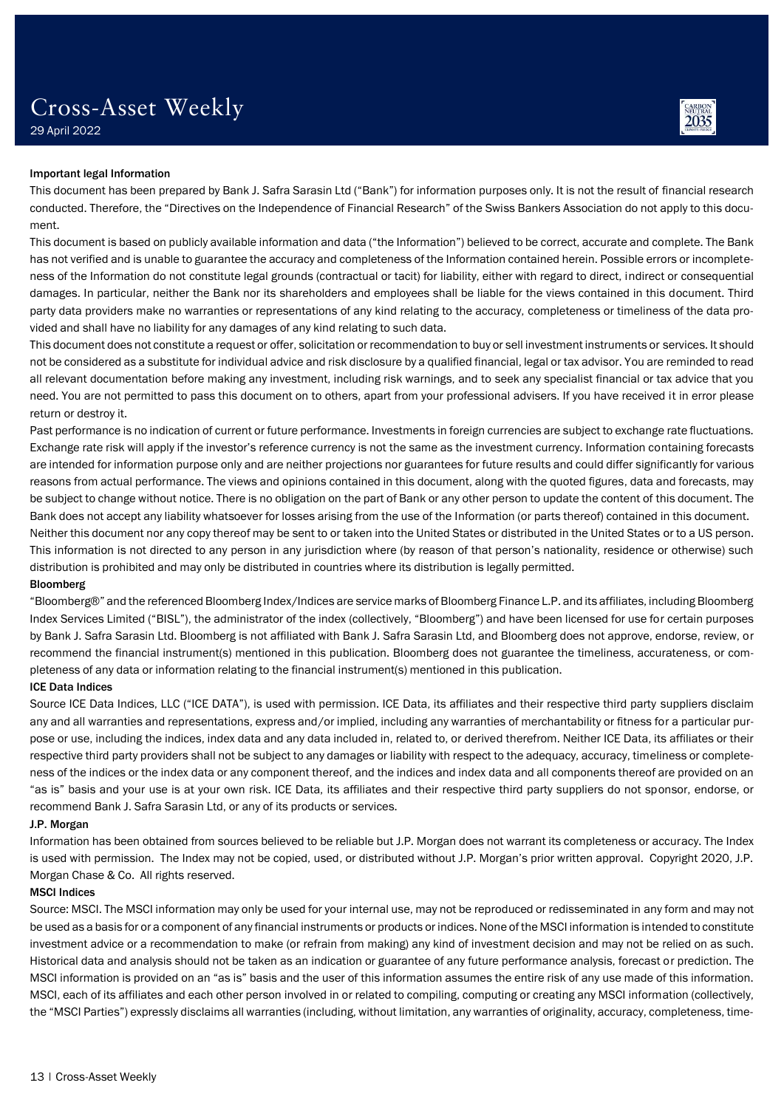

29 April 2022

### Important legal Information

This document has been prepared by Bank J. Safra Sarasin Ltd ("Bank") for information purposes only. It is not the result of financial research conducted. Therefore, the "Directives on the Independence of Financial Research" of the Swiss Bankers Association do not apply to this document.

This document is based on publicly available information and data ("the Information") believed to be correct, accurate and complete. The Bank has not verified and is unable to guarantee the accuracy and completeness of the Information contained herein. Possible errors or incompleteness of the Information do not constitute legal grounds (contractual or tacit) for liability, either with regard to direct, indirect or consequential damages. In particular, neither the Bank nor its shareholders and employees shall be liable for the views contained in this document. Third party data providers make no warranties or representations of any kind relating to the accuracy, completeness or timeliness of the data provided and shall have no liability for any damages of any kind relating to such data.

This document does not constitute a request or offer, solicitation or recommendation to buy or sell investment instruments or services. It should not be considered as a substitute for individual advice and risk disclosure by a qualified financial, legal or tax advisor. You are reminded to read all relevant documentation before making any investment, including risk warnings, and to seek any specialist financial or tax advice that you need. You are not permitted to pass this document on to others, apart from your professional advisers. If you have received it in error please return or destroy it.

Past performance is no indication of current or future performance. Investments in foreign currencies are subject to exchange rate fluctuations. Exchange rate risk will apply if the investor's reference currency is not the same as the investment currency. Information containing forecasts are intended for information purpose only and are neither projections nor guarantees for future results and could differ significantly for various reasons from actual performance. The views and opinions contained in this document, along with the quoted figures, data and forecasts, may be subject to change without notice. There is no obligation on the part of Bank or any other person to update the content of this document. The Bank does not accept any liability whatsoever for losses arising from the use of the Information (or parts thereof) contained in this document. Neither this document nor any copy thereof may be sent to or taken into the United States or distributed in the United States or to a US person. This information is not directed to any person in any jurisdiction where (by reason of that person's nationality, residence or otherwise) such distribution is prohibited and may only be distributed in countries where its distribution is legally permitted.

### Bloomberg

"Bloomberg®" and the referenced Bloomberg Index/Indices are service marks of Bloomberg Finance L.P. and its affiliates, including Bloomberg Index Services Limited ("BISL"), the administrator of the index (collectively, "Bloomberg") and have been licensed for use for certain purposes by Bank J. Safra Sarasin Ltd. Bloomberg is not affiliated with Bank J. Safra Sarasin Ltd, and Bloomberg does not approve, endorse, review, or recommend the financial instrument(s) mentioned in this publication. Bloomberg does not guarantee the timeliness, accurateness, or completeness of any data or information relating to the financial instrument(s) mentioned in this publication.

### ICE Data Indices

Source ICE Data Indices, LLC ("ICE DATA"), is used with permission. ICE Data, its affiliates and their respective third party suppliers disclaim any and all warranties and representations, express and/or implied, including any warranties of merchantability or fitness for a particular purpose or use, including the indices, index data and any data included in, related to, or derived therefrom. Neither ICE Data, its affiliates or their respective third party providers shall not be subject to any damages or liability with respect to the adequacy, accuracy, timeliness or completeness of the indices or the index data or any component thereof, and the indices and index data and all components thereof are provided on an "as is" basis and your use is at your own risk. ICE Data, its affiliates and their respective third party suppliers do not sponsor, endorse, or recommend Bank J. Safra Sarasin Ltd, or any of its products or services.

### J.P. Morgan

Information has been obtained from sources believed to be reliable but J.P. Morgan does not warrant its completeness or accuracy. The Index is used with permission. The Index may not be copied, used, or distributed without J.P. Morgan's prior written approval. Copyright 2020, J.P. Morgan Chase & Co. All rights reserved.

### MSCI Indices

Source: MSCI. The MSCI information may only be used for your internal use, may not be reproduced or redisseminated in any form and may not be used as a basis for or a component of any financial instruments or products or indices. None of the MSCI information is intended to constitute investment advice or a recommendation to make (or refrain from making) any kind of investment decision and may not be relied on as such. Historical data and analysis should not be taken as an indication or guarantee of any future performance analysis, forecast or prediction. The MSCI information is provided on an "as is" basis and the user of this information assumes the entire risk of any use made of this information. MSCI, each of its affiliates and each other person involved in or related to compiling, computing or creating any MSCI information (collectively, the "MSCI Parties") expressly disclaims all warranties (including, without limitation, any warranties of originality, accuracy, completeness, time-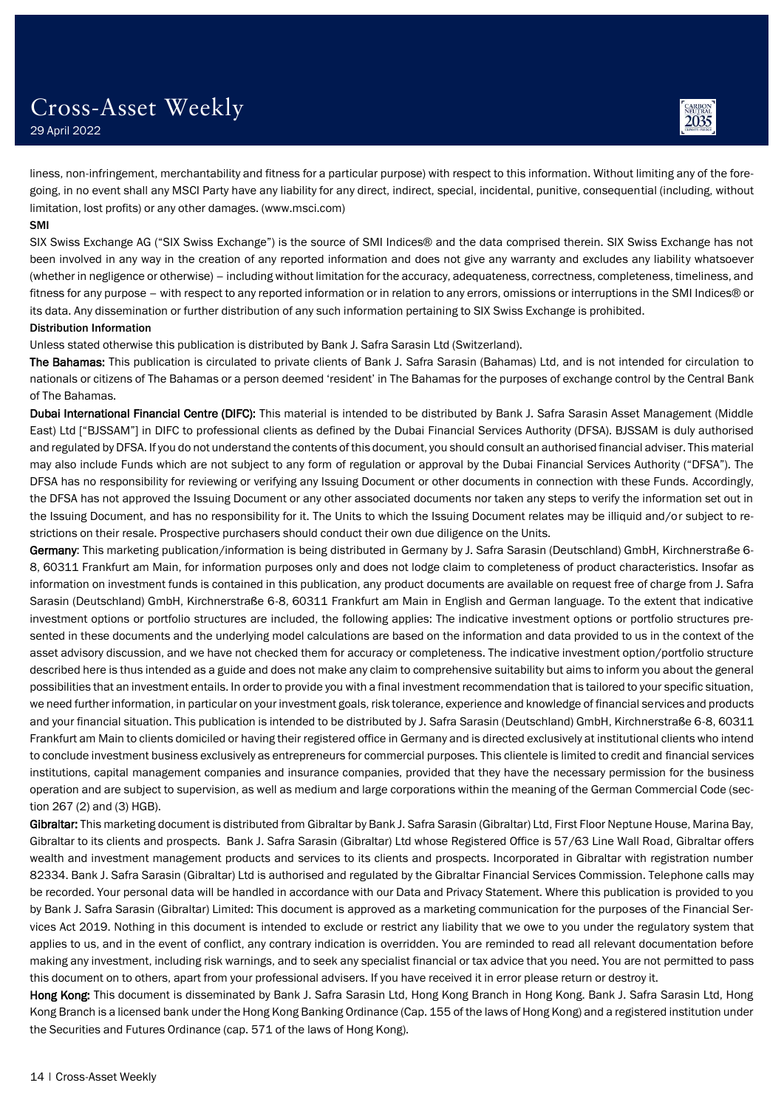

2035

liness, non-infringement, merchantability and fitness for a particular purpose) with respect to this information. Without limiting any of the foregoing, in no event shall any MSCI Party have any liability for any direct, indirect, special, incidental, punitive, consequential (including, without limitation, lost profits) or any other damages. (www.msci.com)

#### SMI

SIX Swiss Exchange AG ("SIX Swiss Exchange") is the source of SMI Indices® and the data comprised therein. SIX Swiss Exchange has not been involved in any way in the creation of any reported information and does not give any warranty and excludes any liability whatsoever (whether in negligence or otherwise) – including without limitation for the accuracy, adequateness, correctness, completeness, timeliness, and fitness for any purpose – with respect to any reported information or in relation to any errors, omissions or interruptions in the SMI Indices® or its data. Any dissemination or further distribution of any such information pertaining to SIX Swiss Exchange is prohibited.

### Distribution Information

Unless stated otherwise this publication is distributed by Bank J. Safra Sarasin Ltd (Switzerland).

The Bahamas: This publication is circulated to private clients of Bank J. Safra Sarasin (Bahamas) Ltd, and is not intended for circulation to nationals or citizens of The Bahamas or a person deemed 'resident' in The Bahamas for the purposes of exchange control by the Central Bank of The Bahamas.

Dubai International Financial Centre (DIFC): This material is intended to be distributed by Bank J. Safra Sarasin Asset Management (Middle East) Ltd ["BJSSAM"] in DIFC to professional clients as defined by the Dubai Financial Services Authority (DFSA). BJSSAM is duly authorised and regulated by DFSA. If you do not understand the contents of this document, you should consult an authorised financial adviser. This material may also include Funds which are not subject to any form of regulation or approval by the Dubai Financial Services Authority ("DFSA"). The DFSA has no responsibility for reviewing or verifying any Issuing Document or other documents in connection with these Funds. Accordingly, the DFSA has not approved the Issuing Document or any other associated documents nor taken any steps to verify the information set out in the Issuing Document, and has no responsibility for it. The Units to which the Issuing Document relates may be illiquid and/or subject to restrictions on their resale. Prospective purchasers should conduct their own due diligence on the Units.

Germany: This marketing publication/information is being distributed in Germany by J. Safra Sarasin (Deutschland) GmbH, Kirchnerstraße 6-8, 60311 Frankfurt am Main, for information purposes only and does not lodge claim to completeness of product characteristics. Insofar as information on investment funds is contained in this publication, any product documents are available on request free of charge from J. Safra Sarasin (Deutschland) GmbH, Kirchnerstraße 6-8, 60311 Frankfurt am Main in English and German language. To the extent that indicative investment options or portfolio structures are included, the following applies: The indicative investment options or portfolio structures presented in these documents and the underlying model calculations are based on the information and data provided to us in the context of the asset advisory discussion, and we have not checked them for accuracy or completeness. The indicative investment option/portfolio structure described here is thus intended as a guide and does not make any claim to comprehensive suitability but aims to inform you about the general possibilities that an investment entails. In order to provide you with a final investment recommendation that is tailored to your specific situation, we need further information, in particular on your investment goals, risk tolerance, experience and knowledge of financial services and products and your financial situation. This publication is intended to be distributed by J. Safra Sarasin (Deutschland) GmbH, Kirchnerstraße 6-8, 60311 Frankfurt am Main to clients domiciled or having their registered office in Germany and is directed exclusively at institutional clients who intend to conclude investment business exclusively as entrepreneurs for commercial purposes. This clientele is limited to credit and financial services institutions, capital management companies and insurance companies, provided that they have the necessary permission for the business operation and are subject to supervision, as well as medium and large corporations within the meaning of the German Commercial Code (section 267 (2) and (3) HGB).

Gibraltar: This marketing document is distributed from Gibraltar by Bank J. Safra Sarasin (Gibraltar) Ltd, First Floor Neptune House, Marina Bay, Gibraltar to its clients and prospects. Bank J. Safra Sarasin (Gibraltar) Ltd whose Registered Office is 57/63 Line Wall Road, Gibraltar offers wealth and investment management products and services to its clients and prospects. Incorporated in Gibraltar with registration number 82334. Bank J. Safra Sarasin (Gibraltar) Ltd is authorised and regulated by the Gibraltar Financial Services Commission. Telephone calls may be recorded. Your personal data will be handled in accordance with our Data and Privacy Statement. Where this publication is provided to you by Bank J. Safra Sarasin (Gibraltar) Limited: This document is approved as a marketing communication for the purposes of the Financial Services Act 2019. Nothing in this document is intended to exclude or restrict any liability that we owe to you under the regulatory system that applies to us, and in the event of conflict, any contrary indication is overridden. You are reminded to read all relevant documentation before making any investment, including risk warnings, and to seek any specialist financial or tax advice that you need. You are not permitted to pass this document on to others, apart from your professional advisers. If you have received it in error please return or destroy it.

Hong Kong: This document is disseminated by Bank J. Safra Sarasin Ltd, Hong Kong Branch in Hong Kong. Bank J. Safra Sarasin Ltd, Hong Kong Branch is a licensed bank under the Hong Kong Banking Ordinance (Cap. 155 of the laws of Hong Kong) and a registered institution under the Securities and Futures Ordinance (cap. 571 of the laws of Hong Kong).